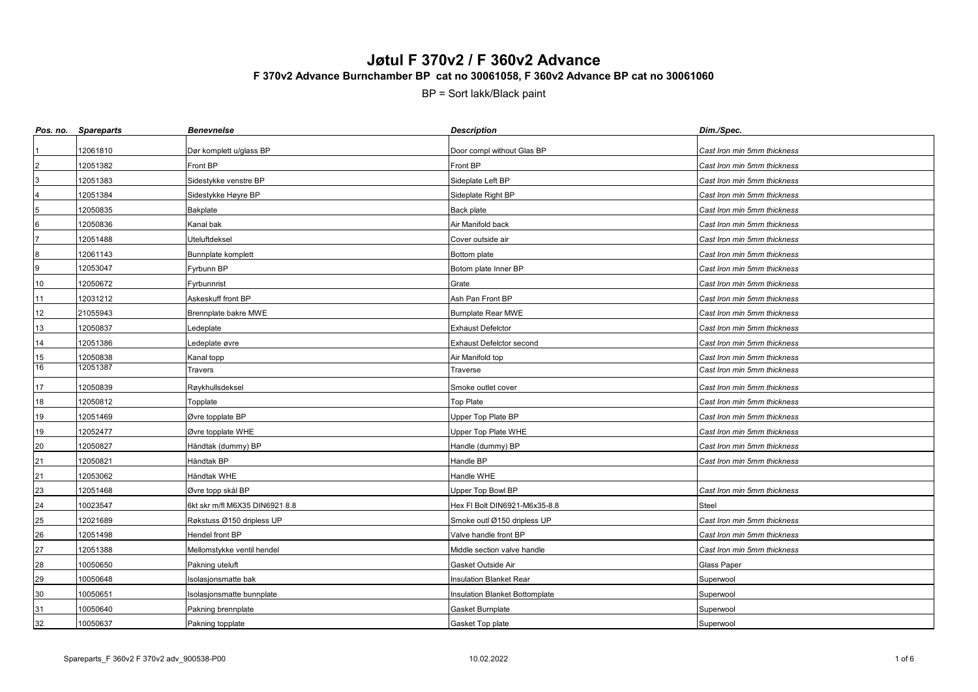|                 | Pos. no. Spareparts | <b>Benevnelse</b>              | <b>Description</b>                    | Dim./Spec.                  |
|-----------------|---------------------|--------------------------------|---------------------------------------|-----------------------------|
|                 | 12061810            | Dør komplett u/glass BP        | Door compl without Glas BP            | Cast Iron min 5mm thickness |
|                 | 12051382            | Front BP                       | Front BP                              | Cast Iron min 5mm thickness |
|                 | 12051383            | Sidestykke venstre BP          | Sideplate Left BP                     | Cast Iron min 5mm thickness |
|                 | 12051384            | Sidestykke Høyre BP            | Sideplate Right BP                    | Cast Iron min 5mm thickness |
|                 | 12050835            | Bakplate                       | Back plate                            | Cast Iron min 5mm thickness |
| $6\phantom{1}6$ | 12050836            | Kanal bak                      | Air Manifold back                     | Cast Iron min 5mm thickness |
|                 | 12051488            | Uteluftdeksel                  | Cover outside air                     | Cast Iron min 5mm thickness |
| $\bf8$          | 12061143            | Bunnplate komplett             | Bottom plate                          | Cast Iron min 5mm thickness |
| 9               | 12053047            | Fyrbunn BP                     | Botom plate Inner BP                  | Cast Iron min 5mm thickness |
| 10              | 12050672            | Fyrbunnrist                    | Grate                                 | Cast Iron min 5mm thickness |
| 11              | 12031212            | Askeskuff front BP             | Ash Pan Front BP                      | Cast Iron min 5mm thickness |
| 12              | 21055943            | Brennplate bakre MWE           | <b>Burnplate Rear MWE</b>             | Cast Iron min 5mm thickness |
| 13              | 12050837            | Ledeplate                      | <b>Exhaust Defelctor</b>              | Cast Iron min 5mm thickness |
| 14              | 12051386            | Ledeplate øvre                 | <b>Exhaust Defelctor second</b>       | Cast Iron min 5mm thickness |
| $\frac{15}{16}$ | 12050838            | Kanal topp                     | Air Manifold top                      | Cast Iron min 5mm thickness |
|                 | 12051387            | Travers                        | Traverse                              | Cast Iron min 5mm thickness |
| 17              | 12050839            | Røykhullsdeksel                | Smoke outlet cover                    | Cast Iron min 5mm thickness |
| $18$            | 12050812            | Topplate                       | Top Plate                             | Cast Iron min 5mm thickness |
| 19              | 12051469            | Øvre topplate BP               | Upper Top Plate BP                    | Cast Iron min 5mm thickness |
| 19              | 12052477            | Øvre topplate WHE              | Upper Top Plate WHE                   | Cast Iron min 5mm thickness |
| 20              | 12050827            | Håndtak (dummy) BP             | Handle (dummy) BP                     | Cast Iron min 5mm thickness |
| 21              | 12050821            | Håndtak BP                     | Handle BP                             | Cast Iron min 5mm thickness |
| 21              | 12053062            | Håndtak WHE                    | Handle WHE                            |                             |
| 23              | 12051468            | Øvre topp skål BP              | Upper Top Bowl BP                     | Cast Iron min 5mm thickness |
| 24              | 10023547            | 6kt skr m/fl M6X35 DIN6921 8.8 | Hex FI Bolt DIN6921-M6x35-8.8         | <b>Steel</b>                |
| 25              | 12021689            | Røkstuss Ø150 dripless UP      | Smoke outl Ø150 dripless UP           | Cast Iron min 5mm thickness |
| 26              | 12051498            | Hendel front BP                | Valve handle front BP                 | Cast Iron min 5mm thickness |
| 27              | 12051388            | Mellomstykke ventil hendel     | Middle section valve handle           | Cast Iron min 5mm thickness |
| 28              | 10050650            | Pakning uteluft                | Gasket Outside Air                    | <b>Glass Paper</b>          |
| 29              | 10050648            | Isolasjonsmatte bak            | <b>Insulation Blanket Rear</b>        | Superwool                   |
| $30\,$          | 10050651            | Isolasjonsmatte bunnplate      | <b>Insulation Blanket Bottomplate</b> | Superwool                   |
| 31              | 10050640            | Pakning brennplate             | Gasket Burnplate                      | Superwool                   |
| 32              | 10050637            | Pakning topplate               | Gasket Top plate                      | Superwool                   |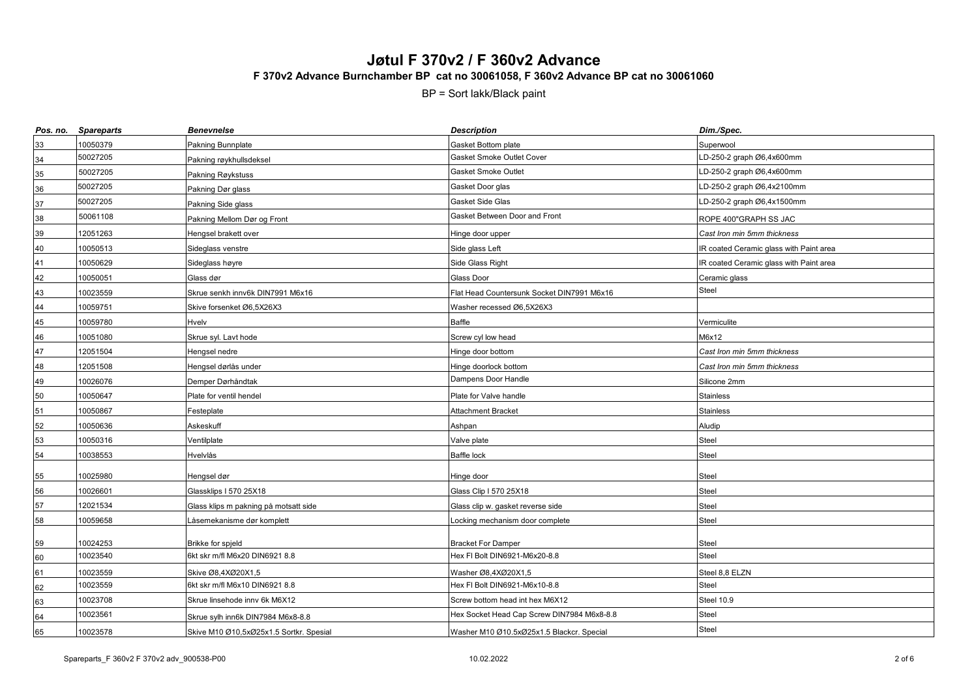| Pos. no. | <b>Spareparts</b> | <b>Benevnelse</b>                       | <b>Description</b>                         | Dim./Spec.                              |
|----------|-------------------|-----------------------------------------|--------------------------------------------|-----------------------------------------|
| 33       | 10050379          | Pakning Bunnplate                       | Gasket Bottom plate                        | Superwool                               |
| 34       | 50027205          | Pakning røykhullsdeksel                 | Gasket Smoke Outlet Cover                  | LD-250-2 graph Ø6,4x600mm               |
| 35       | 50027205          | Pakning Røykstuss                       | Gasket Smoke Outlet                        | LD-250-2 graph Ø6,4x600mm               |
| 36       | 50027205          | Pakning Dør glass                       | Gasket Door glas                           | LD-250-2 graph Ø6,4x2100mm              |
| 37       | 50027205          | Pakning Side glass                      | Gasket Side Glas                           | LD-250-2 graph Ø6,4x1500mm              |
| 38       | 50061108          | Pakning Mellom Dør og Front             | Gasket Between Door and Front              | ROPE 400"GRAPH SS JAC                   |
| 39       | 12051263          | Hengsel brakett over                    | Hinge door upper                           | Cast Iron min 5mm thickness             |
| 40       | 10050513          | Sideglass venstre                       | Side glass Left                            | IR coated Ceramic glass with Paint area |
| 41       | 10050629          | Sideglass høyre                         | Side Glass Right                           | IR coated Ceramic glass with Paint area |
| 42       | 10050051          | Glass dør                               | <b>Glass Door</b>                          | Ceramic glass                           |
| 43       | 10023559          | Skrue senkh innv6k DIN7991 M6x16        | Flat Head Countersunk Socket DIN7991 M6x16 | <b>Steel</b>                            |
| 44       | 10059751          | Skive forsenket Ø6,5X26X3               | Washer recessed Ø6,5X26X3                  |                                         |
| 45       | 10059780          | Hvelv                                   | Baffle                                     | Vermiculite                             |
| 46       | 10051080          | Skrue syl. Lavt hode                    | Screw cyl low head                         | M6x12                                   |
| 47       | 12051504          | Hengsel nedre                           | Hinge door bottom                          | Cast Iron min 5mm thickness             |
| 48       | 12051508          | Hengsel dørlås under                    | Hinge doorlock bottom                      | Cast Iron min 5mm thickness             |
| 49       | 10026076          | Demper Dørhåndtak                       | Dampens Door Handle                        | Silicone 2mm                            |
| 50       | 10050647          | Plate for ventil hendel                 | Plate for Valve handle                     | <b>Stainless</b>                        |
| 51       | 10050867          | Festeplate                              | Attachment Bracket                         | <b>Stainless</b>                        |
| 52       | 10050636          | Askeskuff                               | Ashpan                                     | Aludip                                  |
| 53       | 10050316          | Ventilplate                             | Valve plate                                | Steel                                   |
| 54       | 10038553          | Hvelvlås                                | Baffle lock                                | <b>Steel</b>                            |
| 55       | 10025980          | Hengsel dør                             | Hinge door                                 | <b>Steel</b>                            |
| 56       | 10026601          | Glassklips I 570 25X18                  | Glass Clip I 570 25X18                     | <b>Steel</b>                            |
| 57       | 12021534          | Glass klips m pakning på motsatt side   | Glass clip w. gasket reverse side          | <b>Steel</b>                            |
| 58       | 10059658          | Låsemekanisme dør komplett              | ocking mechanism door complete             | <b>Steel</b>                            |
| 59       | 10024253          | Brikke for spjeld                       | <b>Bracket For Damper</b>                  | Steel                                   |
| 60       | 10023540          | 6kt skr m/fl M6x20 DIN6921 8.8          | Hex FI Bolt DIN6921-M6x20-8.8              | Steel                                   |
| 61       | 10023559          | Skive Ø8,4XØ20X1,5                      | Washer Ø8,4XØ20X1,5                        | Steel 8,8 ELZN                          |
| 62       | 10023559          | 6kt skr m/fl M6x10 DIN6921 8.8          | Hex FI Bolt DIN6921-M6x10-8.8              | Steel                                   |
| 63       | 10023708          | Skrue linsehode inny 6k M6X12           | Screw bottom head int hex M6X12            | Steel 10.9                              |
| 64       | 10023561          | Skrue sylh inn6k DIN7984 M6x8-8.8       | Hex Socket Head Cap Screw DIN7984 M6x8-8.8 | <b>Steel</b>                            |
| 65       | 10023578          | Skive M10 Ø10,5xØ25x1.5 Sortkr. Spesial | Washer M10 Ø10.5xØ25x1.5 Blackcr. Special  | <b>Steel</b>                            |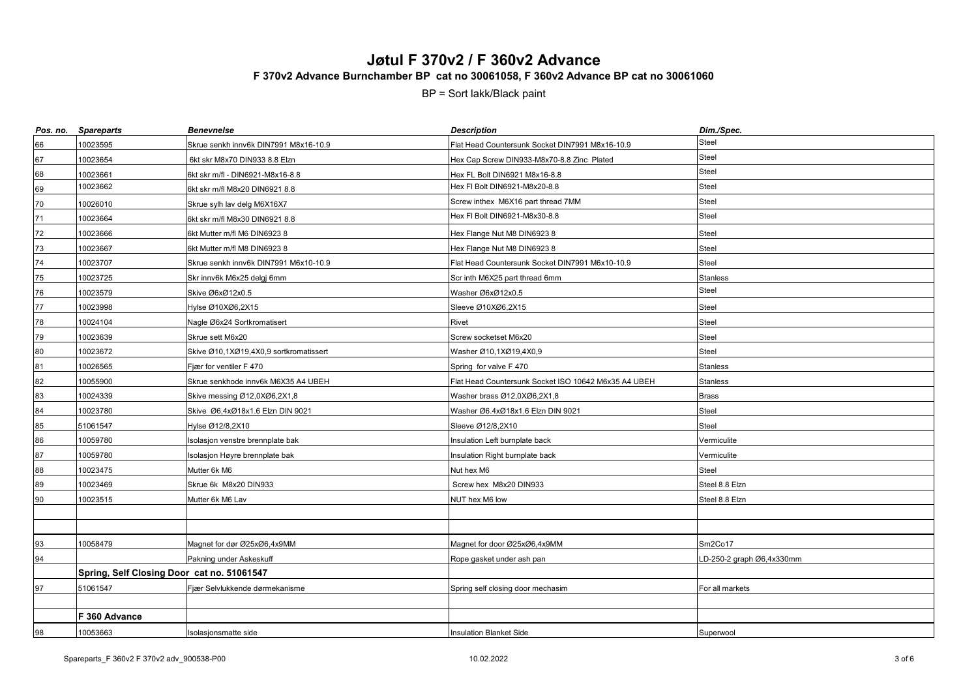| Pos. no. | <b>Spareparts</b>                          | <b>Benevnelse</b>                      | <b>Description</b>                                   | Dim./Spec.               |
|----------|--------------------------------------------|----------------------------------------|------------------------------------------------------|--------------------------|
| 66       | 10023595                                   | Skrue senkh innv6k DIN7991 M8x16-10.9  | Flat Head Countersunk Socket DIN7991 M8x16-10.9      | <b>Steel</b>             |
| 67       | 10023654                                   | 6kt skr M8x70 DIN933 8.8 Elzn          | Hex Cap Screw DIN933-M8x70-8.8 Zinc Plated           | Steel                    |
| 68       | 10023661                                   | 6kt skr m/fl - DIN6921-M8x16-8.8       | Hex FL Bolt DIN6921 M8x16-8.8                        | Steel                    |
| 69       | 10023662                                   | 6kt skr m/fl M8x20 DIN6921 8.8         | Hex FI Bolt DIN6921-M8x20-8.8                        | <b>Steel</b>             |
| 70       | 10026010                                   | Skrue sylh lav delg M6X16X7            | Screw inthex M6X16 part thread 7MM                   | Steel                    |
| 71       | 10023664                                   | 6kt skr m/fl M8x30 DIN6921 8.8         | Hex FI Bolt DIN6921-M8x30-8.8                        | Steel                    |
| 72       | 10023666                                   | 6kt Mutter m/fl M6 DIN6923 8           | Hex Flange Nut M8 DIN6923 8                          | Steel                    |
| 73       | 10023667                                   | 6kt Mutter m/fl M8 DIN6923 8           | Hex Flange Nut M8 DIN6923 8                          | Steel                    |
| 74       | 10023707                                   | Skrue senkh innv6k DIN7991 M6x10-10.9  | Flat Head Countersunk Socket DIN7991 M6x10-10.9      | Steel                    |
| 75       | 10023725                                   | Skr innv6k M6x25 delgj 6mm             | Scr inth M6X25 part thread 6mm                       | Stanless                 |
| 76       | 10023579                                   | Skive Ø6xØ12x0.5                       | Washer Ø6xØ12x0.5                                    | Steel                    |
| 77       | 10023998                                   | Hylse Ø10XØ6.2X15                      | Sleeve Ø10XØ6,2X15                                   | Steel                    |
| 78       | 10024104                                   | Nagle Ø6x24 Sortkromatisert            | Rivet                                                | Steel                    |
| 79       | 10023639                                   | Skrue sett M6x20                       | Screw socketset M6x20                                | Steel                    |
| 80       | 10023672                                   | Skive Ø10,1XØ19,4X0,9 sortkromatissert | Washer Ø10,1XØ19,4X0,9                               | Steel                    |
| 81       | 10026565                                   | Fjær for ventiler F 470                | Spring for valve F 470                               | <b>Stanless</b>          |
| 82       | 10055900                                   | Skrue senkhode innv6k M6X35 A4 UBEH    | Flat Head Countersunk Socket ISO 10642 M6x35 A4 UBEH | <b>Stanless</b>          |
| 83       | 10024339                                   | Skive messing Ø12,0XØ6,2X1,8           | Washer brass Ø12,0XØ6,2X1,8                          | <b>Brass</b>             |
| 84       | 10023780                                   | Skive Ø6,4xØ18x1.6 Elzn DIN 9021       | Washer Ø6.4xØ18x1.6 Elzn DIN 9021                    | Steel                    |
| 85       | 51061547                                   | Hylse Ø12/8,2X10                       | Sleeve Ø12/8,2X10                                    | Steel                    |
| 86       | 10059780                                   | Isolasjon venstre brennplate bak       | Insulation Left burnplate back                       | Vermiculite              |
| 87       | 10059780                                   | solasjon Høyre brennplate bak          | Insulation Right burnplate back                      | Vermiculite              |
| 88       | 10023475                                   | Mutter 6k M6                           | Nut hex M6                                           | Steel                    |
| 89       | 10023469                                   | Skrue 6k M8x20 DIN933                  | Screw hex M8x20 DIN933                               | Steel 8.8 Elzn           |
| 90       | 10023515                                   | Mutter 6k M6 Lav                       | NUT hex M6 low                                       | Steel 8.8 Elzn           |
|          |                                            |                                        |                                                      |                          |
|          |                                            |                                        |                                                      |                          |
| 93       | 10058479                                   | Magnet for dør Ø25xØ6,4x9MM            | Magnet for door Ø25xØ6,4x9MM                         | Sm2Co17                  |
| 94       |                                            | Pakning under Askeskuff                | Rope gasket under ash pan                            | D-250-2 graph Ø6,4x330mm |
|          | Spring, Self Closing Door cat no. 51061547 |                                        |                                                      |                          |
| 97       | 51061547                                   | Fjær Selvlukkende dørmekanisme         | Spring self closing door mechasim                    | For all markets          |
|          |                                            |                                        |                                                      |                          |
|          | F 360 Advance                              |                                        |                                                      |                          |
| 98       | 10053663                                   | Isolasjonsmatte side                   | <b>Insulation Blanket Side</b>                       | Superwool                |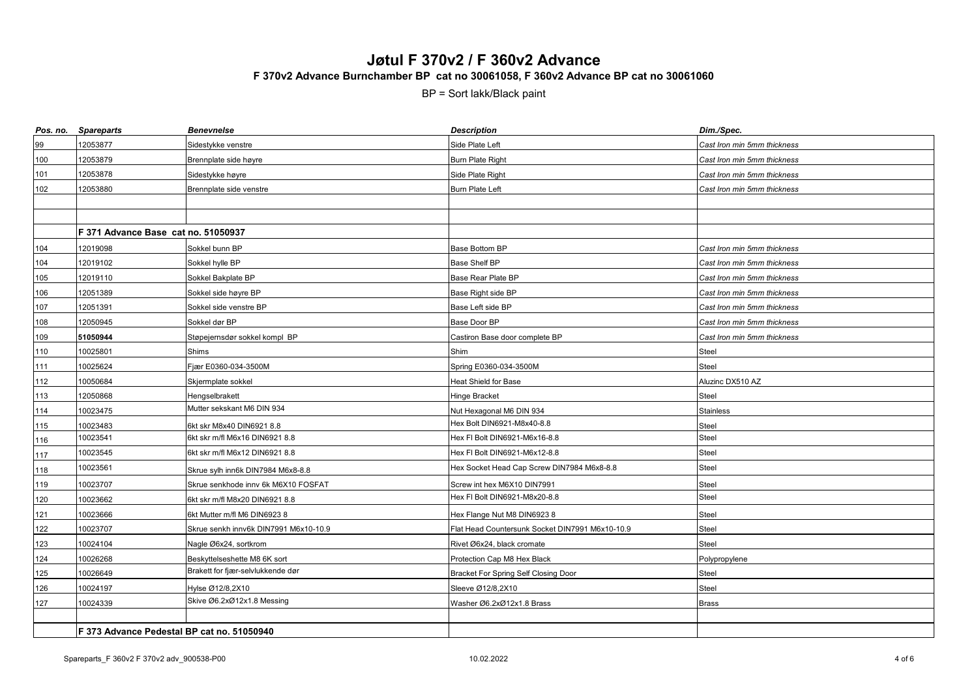| Pos. no. | <b>Spareparts</b>                          | <b>Benevnelse</b>                     | <b>Description</b>                              | Dim./Spec.                  |
|----------|--------------------------------------------|---------------------------------------|-------------------------------------------------|-----------------------------|
| 99       | 12053877                                   | Sidestykke venstre                    | Side Plate Left                                 | Cast Iron min 5mm thickness |
| 100      | 12053879                                   | Brennplate side høyre                 | <b>Burn Plate Right</b>                         | Cast Iron min 5mm thickness |
| 101      | 12053878                                   | Sidestykke høyre                      | Side Plate Right                                | Cast Iron min 5mm thickness |
| 102      | 12053880                                   | Brennplate side venstre               | Burn Plate Left                                 | Cast Iron min 5mm thickness |
|          |                                            |                                       |                                                 |                             |
|          |                                            |                                       |                                                 |                             |
|          | F 371 Advance Base cat no. 51050937        |                                       |                                                 |                             |
| 104      | 12019098                                   | Sokkel bunn BP                        | Base Bottom BP                                  | Cast Iron min 5mm thickness |
| 104      | 12019102                                   | Sokkel hylle BP                       | Base Shelf BP                                   | Cast Iron min 5mm thickness |
| 105      | 12019110                                   | Sokkel Bakplate BP                    | Base Rear Plate BP                              | Cast Iron min 5mm thickness |
| 106      | 12051389                                   | Sokkel side høyre BP                  | Base Right side BP                              | Cast Iron min 5mm thickness |
| 107      | 12051391                                   | Sokkel side venstre BP                | Base Left side BP                               | Cast Iron min 5mm thickness |
| 108      | 12050945                                   | Sokkel dør BP                         | Base Door BP                                    | Cast Iron min 5mm thickness |
| 109      | 51050944                                   | Støpejernsdør sokkel kompl BP         | Castiron Base door complete BP                  | Cast Iron min 5mm thickness |
| 110      | 10025801                                   | Shims                                 | Shim                                            | Steel                       |
| 111      | 10025624                                   | Fjær E0360-034-3500M                  | Spring E0360-034-3500M                          | <b>Steel</b>                |
| 112      | 10050684                                   | Skjermplate sokkel                    | Heat Shield for Base                            | Aluzinc DX510 AZ            |
| 113      | 12050868                                   | Hengselbrakett                        | Hinge Bracket                                   | Steel                       |
| 114      | 10023475                                   | Mutter sekskant M6 DIN 934            | Nut Hexagonal M6 DIN 934                        | <b>Stainless</b>            |
| 115      | 10023483                                   | 6kt skr M8x40 DIN6921 8.8             | Hex Bolt DIN6921-M8x40-8.8                      | Steel                       |
| 116      | 10023541                                   | 6kt skr m/fl M6x16 DIN6921 8.8        | Hex FI Bolt DIN6921-M6x16-8.8                   | Steel                       |
| 117      | 10023545                                   | 6kt skr m/fl M6x12 DIN6921 8.8        | Hex FI Bolt DIN6921-M6x12-8.8                   | Steel                       |
| 118      | 10023561                                   | Skrue sylh inn6k DIN7984 M6x8-8.8     | Hex Socket Head Cap Screw DIN7984 M6x8-8.8      | <b>Steel</b>                |
| 119      | 10023707                                   | Skrue senkhode innv 6k M6X10 FOSFAT   | Screw int hex M6X10 DIN7991                     | <b>Steel</b>                |
| 120      | 10023662                                   | 6kt skr m/fl M8x20 DIN6921 8.8        | Hex FI Bolt DIN6921-M8x20-8.8                   | <b>Steel</b>                |
| 121      | 10023666                                   | 6kt Mutter m/fl M6 DIN6923 8          | Hex Flange Nut M8 DIN6923 8                     | Steel                       |
| 122      | 10023707                                   | Skrue senkh innv6k DIN7991 M6x10-10.9 | Flat Head Countersunk Socket DIN7991 M6x10-10.9 | <b>Steel</b>                |
| 123      | 10024104                                   | Nagle Ø6x24, sortkrom                 | Rivet Ø6x24, black cromate                      | Steel                       |
| 124      | 10026268                                   | Beskyttelseshette M8 6K sort          | Protection Cap M8 Hex Black                     | Polypropylene               |
| 125      | 10026649                                   | Brakett for fjær-selvlukkende dør     | Bracket For Spring Self Closing Door            | <b>Steel</b>                |
| 126      | 10024197                                   | Hylse Ø12/8,2X10                      | Sleeve Ø12/8,2X10                               | Steel                       |
| $127$    | 10024339                                   | Skive Ø6.2xØ12x1.8 Messing            | Washer Ø6.2xØ12x1.8 Brass                       | <b>Brass</b>                |
|          |                                            |                                       |                                                 |                             |
|          | F 373 Advance Pedestal BP cat no. 51050940 |                                       |                                                 |                             |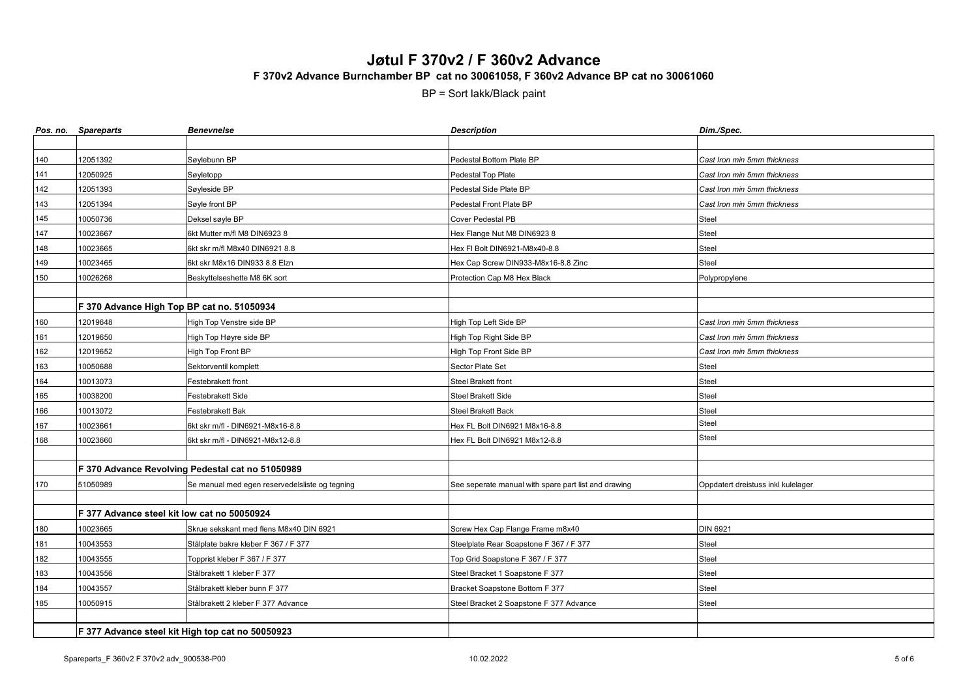|     | Pos. no. Spareparts                              | <b>Benevnelse</b>                                | <b>Description</b>                                   | Dim./Spec.                         |
|-----|--------------------------------------------------|--------------------------------------------------|------------------------------------------------------|------------------------------------|
|     |                                                  |                                                  |                                                      |                                    |
| 140 | 12051392                                         | Søylebunn BP                                     | Pedestal Bottom Plate BP                             | Cast Iron min 5mm thickness        |
| 141 | 12050925                                         | Søyletopp                                        | Pedestal Top Plate                                   | Cast Iron min 5mm thickness        |
| 142 | 12051393                                         | Søyleside BP                                     | Pedestal Side Plate BP                               | Cast Iron min 5mm thickness        |
| 143 | 12051394                                         | Søyle front BP                                   | Pedestal Front Plate BP                              | Cast Iron min 5mm thickness        |
| 145 | 10050736                                         | Deksel søyle BP                                  | Cover Pedestal PB                                    | Steel                              |
| 147 | 10023667                                         | 6kt Mutter m/fl M8 DIN6923 8                     | Hex Flange Nut M8 DIN6923 8                          | Steel                              |
| 148 | 10023665                                         | 6kt skr m/fl M8x40 DIN6921 8.8                   | Hex FI Bolt DIN6921-M8x40-8.8                        | Steel                              |
| 149 | 10023465                                         | 6kt skr M8x16 DIN933 8.8 Elzn                    | Hex Cap Screw DIN933-M8x16-8.8 Zinc                  | <b>Steel</b>                       |
| 150 | 10026268                                         | Beskyttelseshette M8 6K sort                     | Protection Cap M8 Hex Black                          | Polypropylene                      |
|     |                                                  |                                                  |                                                      |                                    |
|     | F 370 Advance High Top BP cat no. 51050934       |                                                  |                                                      |                                    |
| 160 | 12019648                                         | High Top Venstre side BP                         | High Top Left Side BP                                | Cast Iron min 5mm thickness        |
| 161 | 12019650                                         | High Top Høyre side BP                           | High Top Right Side BP                               | Cast Iron min 5mm thickness        |
| 162 | 12019652                                         | High Top Front BP                                | High Top Front Side BP                               | Cast Iron min 5mm thickness        |
| 163 | 10050688                                         | Sektorventil komplett                            | Sector Plate Set                                     | <b>Steel</b>                       |
| 164 | 10013073                                         | Festebrakett front                               | <b>Steel Brakett front</b>                           | <b>Steel</b>                       |
| 165 | 10038200                                         | Festebrakett Side                                | Steel Brakett Side                                   | Steel                              |
| 166 | 10013072                                         | Festebrakett Bak                                 | Steel Brakett Back                                   | <b>Steel</b>                       |
| 167 | 10023661                                         | 6kt skr m/fl - DIN6921-M8x16-8.8                 | Hex FL Bolt DIN6921 M8x16-8.8                        | Steel                              |
| 168 | 10023660                                         | 6kt skr m/fl - DIN6921-M8x12-8.8                 | Hex FL Bolt DIN6921 M8x12-8.8                        | <b>Steel</b>                       |
|     |                                                  |                                                  |                                                      |                                    |
|     |                                                  | F 370 Advance Revolving Pedestal cat no 51050989 |                                                      |                                    |
| 170 | 51050989                                         | Se manual med egen reservedelsliste og tegning   | See seperate manual with spare part list and drawing | Oppdatert dreistuss inkl kulelager |
|     |                                                  |                                                  |                                                      |                                    |
|     | F 377 Advance steel kit low cat no 50050924      |                                                  |                                                      |                                    |
| 180 | 10023665                                         | Skrue sekskant med flens M8x40 DIN 6921          | Screw Hex Cap Flange Frame m8x40                     | <b>DIN 6921</b>                    |
| 181 | 10043553                                         | Stålplate bakre kleber F 367 / F 377             | Steelplate Rear Soapstone F 367 / F 377              | Steel                              |
| 182 | 10043555                                         | Topprist kleber F 367 / F 377                    | Top Grid Soapstone F 367 / F 377                     | <b>Steel</b>                       |
| 183 | 10043556                                         | Stålbrakett 1 kleber F 377                       | Steel Bracket 1 Soapstone F 377                      | <b>Steel</b>                       |
| 184 | 10043557                                         | Stålbrakett kleber bunn F 377                    | Bracket Soapstone Bottom F 377                       | <b>Steel</b>                       |
| 185 | 10050915                                         | Stålbrakett 2 kleber F 377 Advance               | Steel Bracket 2 Soapstone F 377 Advance              | Steel                              |
|     |                                                  |                                                  |                                                      |                                    |
|     | F 377 Advance steel kit High top cat no 50050923 |                                                  |                                                      |                                    |